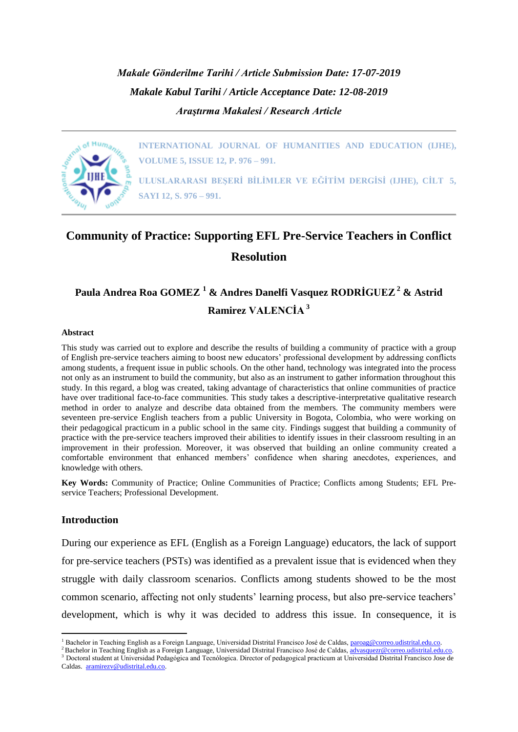*Makale Gönderilme Tarihi / Article Submission Date: 17-07-2019 Makale Kabul Tarihi / Article Acceptance Date: 12-08-2019 Araştırma Makalesi / Research Article*



**INTERNATIONAL JOURNAL OF HUMANITIES AND EDUCATION (IJHE), VOLUME 5, ISSUE 12, P. 976 – 991.**

**ULUSLARARASI BEŞERİ BİLİMLER VE EĞİTİM DERGİSİ (IJHE), CİLT 5, SAYI 12, S. 976 – 991.**

# **Community of Practice: Supporting EFL Pre-Service Teachers in Conflict Resolution**

# **Paula Andrea Roa GOMEZ <sup>1</sup> & Andres Danelfi Vasquez RODRİGUEZ<sup>2</sup> & Astrid Ramirez VALENCİA <sup>3</sup>**

#### **Abstract**

This study was carried out to explore and describe the results of building a community of practice with a group of English pre-service teachers aiming to boost new educators' professional development by addressing conflicts among students, a frequent issue in public schools. On the other hand, technology was integrated into the process not only as an instrument to build the community, but also as an instrument to gather information throughout this study. In this regard, a blog was created, taking advantage of characteristics that online communities of practice have over traditional face-to-face communities. This study takes a descriptive-interpretative qualitative research method in order to analyze and describe data obtained from the members. The community members were seventeen pre-service English teachers from a public University in Bogota, Colombia, who were working on their pedagogical practicum in a public school in the same city. Findings suggest that building a community of practice with the pre-service teachers improved their abilities to identify issues in their classroom resulting in an improvement in their profession. Moreover, it was observed that building an online community created a comfortable environment that enhanced members' confidence when sharing anecdotes, experiences, and knowledge with others.

**Key Words:** Community of Practice; Online Communities of Practice; Conflicts among Students; EFL Preservice Teachers; Professional Development.

#### **Introduction**

1

During our experience as EFL (English as a Foreign Language) educators, the lack of support for pre-service teachers (PSTs) was identified as a prevalent issue that is evidenced when they struggle with daily classroom scenarios. Conflicts among students showed to be the most common scenario, affecting not only students' learning process, but also pre-service teachers' development, which is why it was decided to address this issue. In consequence, it is

<sup>&</sup>lt;sup>1</sup> Bachelor in Teaching English as a Foreign Language, Universidad Distrital Francisco José de Caldas, [paroag@correo.udistrital.edu.co.](mailto:paroag@correo.udistrital.edu.co)

<sup>&</sup>lt;sup>2</sup> Bachelor in Teaching English as a Foreign Language, Universidad Distrital Francisco José de Caldas[, advasquezr@correo.udistrital.edu.co.](mailto:advasquezr@correo.udistrital.edu.co)

<sup>&</sup>lt;sup>3</sup> Doctoral student at Universidad Pedagógica and Tecnólogica. Director of pedagogical practicum at Universidad Distrital Francisco Jose de Caldas. [aramirezv@udistrital.edu.co.](mailto:aramirezv@udistrital.edu.co)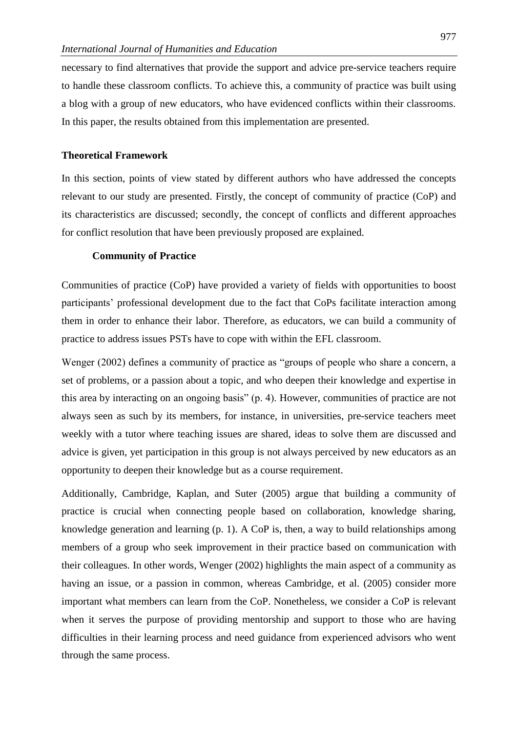necessary to find alternatives that provide the support and advice pre-service teachers require to handle these classroom conflicts. To achieve this, a community of practice was built using a blog with a group of new educators, who have evidenced conflicts within their classrooms. In this paper, the results obtained from this implementation are presented.

# **Theoretical Framework**

In this section, points of view stated by different authors who have addressed the concepts relevant to our study are presented. Firstly, the concept of community of practice (CoP) and its characteristics are discussed; secondly, the concept of conflicts and different approaches for conflict resolution that have been previously proposed are explained.

#### **Community of Practice**

Communities of practice (CoP) have provided a variety of fields with opportunities to boost participants' professional development due to the fact that CoPs facilitate interaction among them in order to enhance their labor. Therefore, as educators, we can build a community of practice to address issues PSTs have to cope with within the EFL classroom.

Wenger (2002) defines a community of practice as "groups of people who share a concern, a set of problems, or a passion about a topic, and who deepen their knowledge and expertise in this area by interacting on an ongoing basis" (p. 4). However, communities of practice are not always seen as such by its members, for instance, in universities, pre-service teachers meet weekly with a tutor where teaching issues are shared, ideas to solve them are discussed and advice is given, yet participation in this group is not always perceived by new educators as an opportunity to deepen their knowledge but as a course requirement.

Additionally, Cambridge, Kaplan, and Suter (2005) argue that building a community of practice is crucial when connecting people based on collaboration, knowledge sharing, knowledge generation and learning (p. 1). A CoP is, then, a way to build relationships among members of a group who seek improvement in their practice based on communication with their colleagues. In other words, Wenger (2002) highlights the main aspect of a community as having an issue, or a passion in common, whereas Cambridge, et al. (2005) consider more important what members can learn from the CoP. Nonetheless, we consider a CoP is relevant when it serves the purpose of providing mentorship and support to those who are having difficulties in their learning process and need guidance from experienced advisors who went through the same process.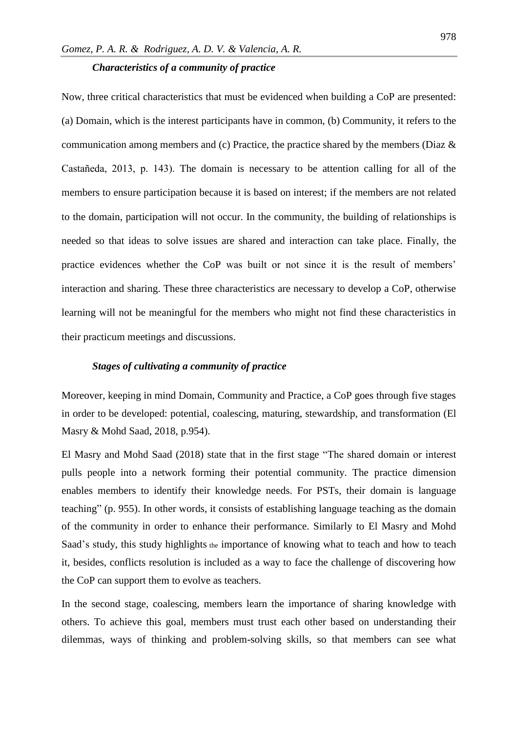# *Characteristics of a community of practice*

Now, three critical characteristics that must be evidenced when building a CoP are presented: (a) Domain, which is the interest participants have in common, (b) Community, it refers to the communication among members and (c) Practice, the practice shared by the members (Diaz & Castañeda, 2013, p. 143). The domain is necessary to be attention calling for all of the members to ensure participation because it is based on interest; if the members are not related to the domain, participation will not occur. In the community, the building of relationships is needed so that ideas to solve issues are shared and interaction can take place. Finally, the practice evidences whether the CoP was built or not since it is the result of members' interaction and sharing. These three characteristics are necessary to develop a CoP, otherwise learning will not be meaningful for the members who might not find these characteristics in their practicum meetings and discussions.

# *Stages of cultivating a community of practice*

Moreover, keeping in mind Domain, Community and Practice, a CoP goes through five stages in order to be developed: potential, coalescing, maturing, stewardship, and transformation (El Masry & Mohd Saad, 2018, p.954).

El Masry and Mohd Saad (2018) state that in the first stage "The shared domain or interest pulls people into a network forming their potential community. The practice dimension enables members to identify their knowledge needs. For PSTs, their domain is language teaching" (p. 955). In other words, it consists of establishing language teaching as the domain of the community in order to enhance their performance. Similarly to El Masry and Mohd Saad's study, this study highlights the importance of knowing what to teach and how to teach it, besides, conflicts resolution is included as a way to face the challenge of discovering how the CoP can support them to evolve as teachers.

In the second stage, coalescing, members learn the importance of sharing knowledge with others. To achieve this goal, members must trust each other based on understanding their dilemmas, ways of thinking and problem-solving skills, so that members can see what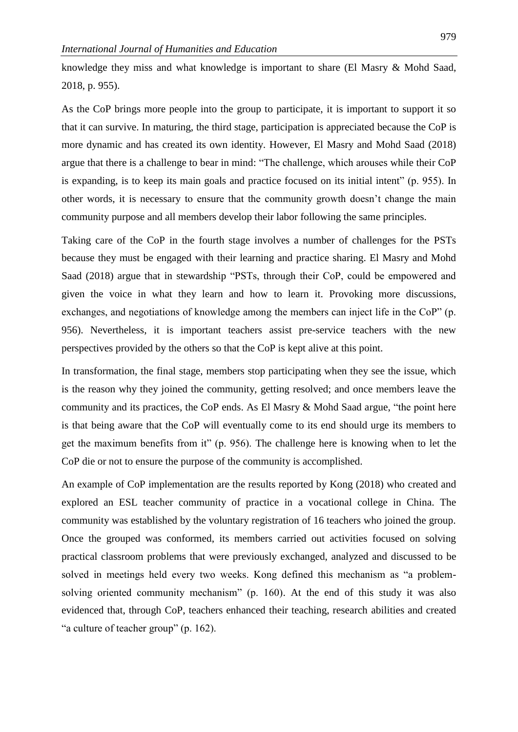knowledge they miss and what knowledge is important to share (El Masry & Mohd Saad, 2018, p. 955).

As the CoP brings more people into the group to participate, it is important to support it so that it can survive. In maturing, the third stage, participation is appreciated because the CoP is more dynamic and has created its own identity. However, El Masry and Mohd Saad (2018) argue that there is a challenge to bear in mind: "The challenge, which arouses while their CoP is expanding, is to keep its main goals and practice focused on its initial intent" (p. 955). In other words, it is necessary to ensure that the community growth doesn't change the main community purpose and all members develop their labor following the same principles.

Taking care of the CoP in the fourth stage involves a number of challenges for the PSTs because they must be engaged with their learning and practice sharing. El Masry and Mohd Saad (2018) argue that in stewardship "PSTs, through their CoP, could be empowered and given the voice in what they learn and how to learn it. Provoking more discussions, exchanges, and negotiations of knowledge among the members can inject life in the CoP" (p. 956). Nevertheless, it is important teachers assist pre-service teachers with the new perspectives provided by the others so that the CoP is kept alive at this point.

In transformation, the final stage, members stop participating when they see the issue, which is the reason why they joined the community, getting resolved; and once members leave the community and its practices, the CoP ends. As El Masry & Mohd Saad argue, "the point here is that being aware that the CoP will eventually come to its end should urge its members to get the maximum benefits from it" (p. 956). The challenge here is knowing when to let the CoP die or not to ensure the purpose of the community is accomplished.

An example of CoP implementation are the results reported by Kong (2018) who created and explored an ESL teacher community of practice in a vocational college in China. The community was established by the voluntary registration of 16 teachers who joined the group. Once the grouped was conformed, its members carried out activities focused on solving practical classroom problems that were previously exchanged, analyzed and discussed to be solved in meetings held every two weeks. Kong defined this mechanism as "a problemsolving oriented community mechanism" (p. 160). At the end of this study it was also evidenced that, through CoP, teachers enhanced their teaching, research abilities and created "a culture of teacher group" (p. 162).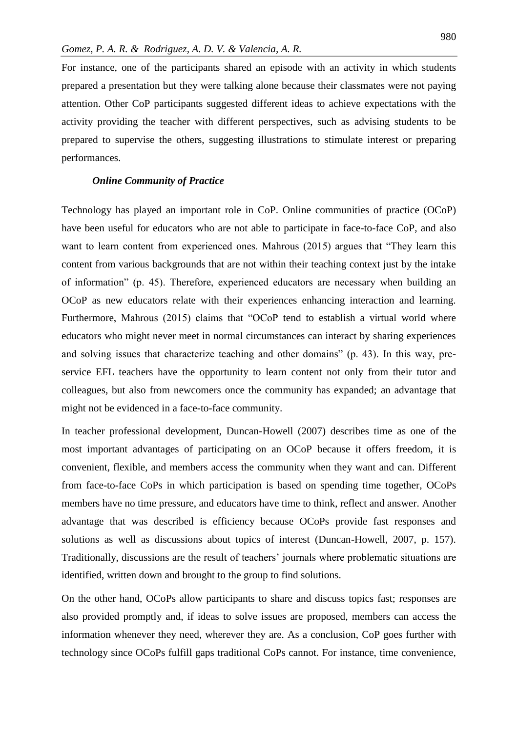For instance, one of the participants shared an episode with an activity in which students prepared a presentation but they were talking alone because their classmates were not paying attention. Other CoP participants suggested different ideas to achieve expectations with the activity providing the teacher with different perspectives, such as advising students to be prepared to supervise the others, suggesting illustrations to stimulate interest or preparing performances.

# *Online Community of Practice*

Technology has played an important role in CoP. Online communities of practice (OCoP) have been useful for educators who are not able to participate in face-to-face CoP, and also want to learn content from experienced ones. Mahrous (2015) argues that "They learn this content from various backgrounds that are not within their teaching context just by the intake of information" (p. 45). Therefore, experienced educators are necessary when building an OCoP as new educators relate with their experiences enhancing interaction and learning. Furthermore, Mahrous (2015) claims that "OCoP tend to establish a virtual world where educators who might never meet in normal circumstances can interact by sharing experiences and solving issues that characterize teaching and other domains" (p. 43). In this way, preservice EFL teachers have the opportunity to learn content not only from their tutor and colleagues, but also from newcomers once the community has expanded; an advantage that might not be evidenced in a face-to-face community.

In teacher professional development, Duncan-Howell (2007) describes time as one of the most important advantages of participating on an OCoP because it offers freedom, it is convenient, flexible, and members access the community when they want and can. Different from face-to-face CoPs in which participation is based on spending time together, OCoPs members have no time pressure, and educators have time to think, reflect and answer. Another advantage that was described is efficiency because OCoPs provide fast responses and solutions as well as discussions about topics of interest (Duncan-Howell, 2007, p. 157). Traditionally, discussions are the result of teachers' journals where problematic situations are identified, written down and brought to the group to find solutions.

On the other hand, OCoPs allow participants to share and discuss topics fast; responses are also provided promptly and, if ideas to solve issues are proposed, members can access the information whenever they need, wherever they are. As a conclusion, CoP goes further with technology since OCoPs fulfill gaps traditional CoPs cannot. For instance, time convenience,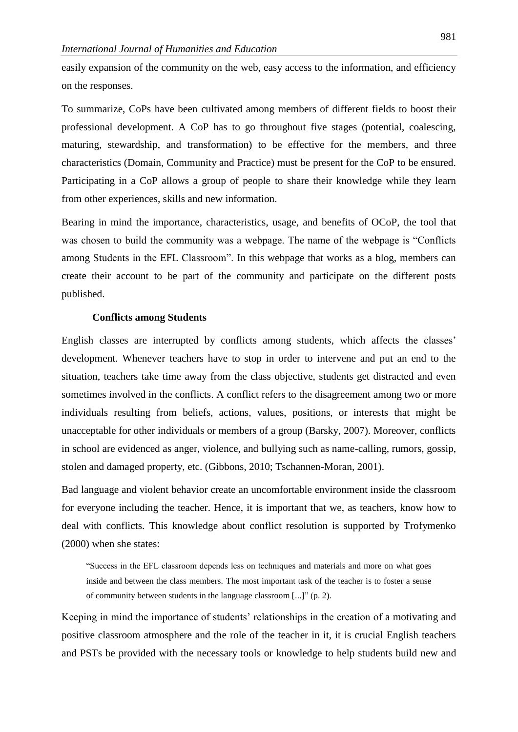easily expansion of the community on the web, easy access to the information, and efficiency on the responses.

To summarize, CoPs have been cultivated among members of different fields to boost their professional development. A CoP has to go throughout five stages (potential, coalescing, maturing, stewardship, and transformation) to be effective for the members, and three characteristics (Domain, Community and Practice) must be present for the CoP to be ensured. Participating in a CoP allows a group of people to share their knowledge while they learn from other experiences, skills and new information.

Bearing in mind the importance, characteristics, usage, and benefits of OCoP, the tool that was chosen to build the community was a webpage. The name of the webpage is "Conflicts among Students in the EFL Classroom". In this webpage that works as a blog, members can create their account to be part of the community and participate on the different posts published.

#### **Conflicts among Students**

English classes are interrupted by conflicts among students, which affects the classes' development. Whenever teachers have to stop in order to intervene and put an end to the situation, teachers take time away from the class objective, students get distracted and even sometimes involved in the conflicts. A conflict refers to the disagreement among two or more individuals resulting from beliefs, actions, values, positions, or interests that might be unacceptable for other individuals or members of a group (Barsky, 2007). Moreover, conflicts in school are evidenced as anger, violence, and bullying such as name-calling, rumors, gossip, stolen and damaged property, etc. (Gibbons, 2010; Tschannen-Moran, 2001).

Bad language and violent behavior create an uncomfortable environment inside the classroom for everyone including the teacher. Hence, it is important that we, as teachers, know how to deal with conflicts. This knowledge about conflict resolution is supported by Trofymenko (2000) when she states:

"Success in the EFL classroom depends less on techniques and materials and more on what goes inside and between the class members. The most important task of the teacher is to foster a sense of community between students in the language classroom [...]" (p. 2).

Keeping in mind the importance of students' relationships in the creation of a motivating and positive classroom atmosphere and the role of the teacher in it, it is crucial English teachers and PSTs be provided with the necessary tools or knowledge to help students build new and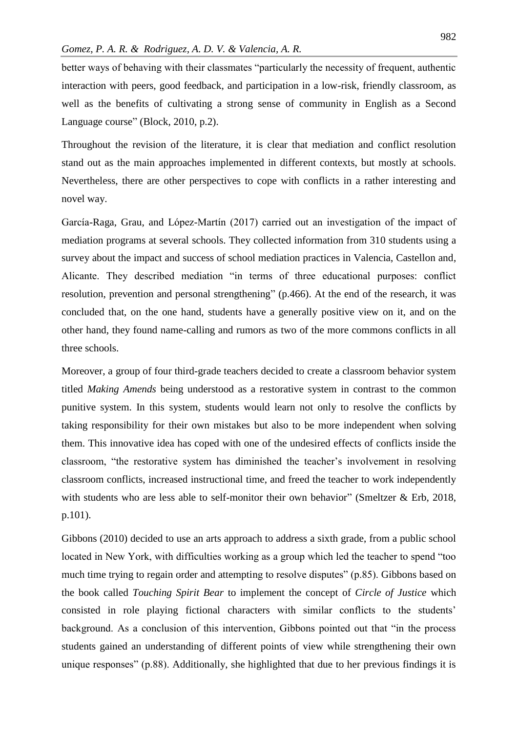better ways of behaving with their classmates "particularly the necessity of frequent, authentic interaction with peers, good feedback, and participation in a low-risk, friendly classroom, as well as the benefits of cultivating a strong sense of community in English as a Second Language course" (Block, 2010, p.2).

Throughout the revision of the literature, it is clear that mediation and conflict resolution stand out as the main approaches implemented in different contexts, but mostly at schools. Nevertheless, there are other perspectives to cope with conflicts in a rather interesting and novel way.

García-Raga, Grau, and López-Martín (2017) carried out an investigation of the impact of mediation programs at several schools. They collected information from 310 students using a survey about the impact and success of school mediation practices in Valencia, Castellon and, Alicante. They described mediation "in terms of three educational purposes: conflict resolution, prevention and personal strengthening" (p.466). At the end of the research, it was concluded that, on the one hand, students have a generally positive view on it, and on the other hand, they found name-calling and rumors as two of the more commons conflicts in all three schools.

Moreover, a group of four third-grade teachers decided to create a classroom behavior system titled *Making Amends* being understood as a restorative system in contrast to the common punitive system. In this system, students would learn not only to resolve the conflicts by taking responsibility for their own mistakes but also to be more independent when solving them. This innovative idea has coped with one of the undesired effects of conflicts inside the classroom, "the restorative system has diminished the teacher's involvement in resolving classroom conflicts, increased instructional time, and freed the teacher to work independently with students who are less able to self-monitor their own behavior" (Smeltzer & Erb, 2018, p.101).

Gibbons (2010) decided to use an arts approach to address a sixth grade, from a public school located in New York, with difficulties working as a group which led the teacher to spend "too much time trying to regain order and attempting to resolve disputes" (p.85). Gibbons based on the book called *Touching Spirit Bear* to implement the concept of *Circle of Justice* which consisted in role playing fictional characters with similar conflicts to the students' background. As a conclusion of this intervention, Gibbons pointed out that "in the process students gained an understanding of different points of view while strengthening their own unique responses" (p.88). Additionally, she highlighted that due to her previous findings it is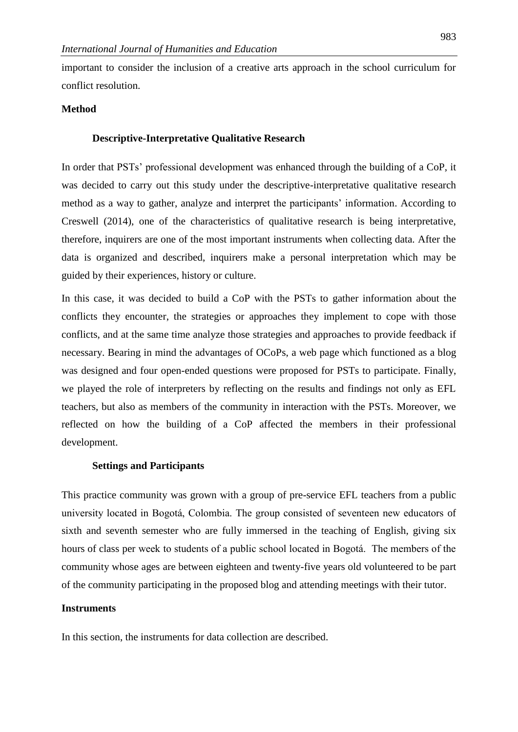important to consider the inclusion of a creative arts approach in the school curriculum for conflict resolution.

# **Method**

# **Descriptive-Interpretative Qualitative Research**

In order that PSTs' professional development was enhanced through the building of a CoP, it was decided to carry out this study under the descriptive-interpretative qualitative research method as a way to gather, analyze and interpret the participants' information. According to Creswell (2014), one of the characteristics of qualitative research is being interpretative, therefore, inquirers are one of the most important instruments when collecting data. After the data is organized and described, inquirers make a personal interpretation which may be guided by their experiences, history or culture.

In this case, it was decided to build a CoP with the PSTs to gather information about the conflicts they encounter, the strategies or approaches they implement to cope with those conflicts, and at the same time analyze those strategies and approaches to provide feedback if necessary. Bearing in mind the advantages of OCoPs, a web page which functioned as a blog was designed and four open-ended questions were proposed for PSTs to participate. Finally, we played the role of interpreters by reflecting on the results and findings not only as EFL teachers, but also as members of the community in interaction with the PSTs. Moreover, we reflected on how the building of a CoP affected the members in their professional development.

#### **Settings and Participants**

This practice community was grown with a group of pre-service EFL teachers from a public university located in Bogotá, Colombia. The group consisted of seventeen new educators of sixth and seventh semester who are fully immersed in the teaching of English, giving six hours of class per week to students of a public school located in Bogotá. The members of the community whose ages are between eighteen and twenty-five years old volunteered to be part of the community participating in the proposed blog and attending meetings with their tutor.

# **Instruments**

In this section, the instruments for data collection are described.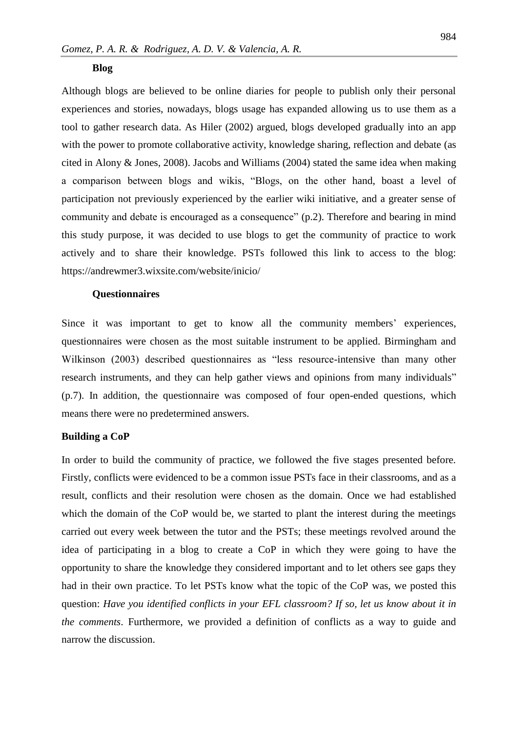#### **Blog**

Although blogs are believed to be online diaries for people to publish only their personal experiences and stories, nowadays, blogs usage has expanded allowing us to use them as a tool to gather research data. As Hiler (2002) argued, blogs developed gradually into an app with the power to promote collaborative activity, knowledge sharing, reflection and debate (as cited in Alony & Jones, 2008). Jacobs and Williams (2004) stated the same idea when making a comparison between blogs and wikis, "Blogs, on the other hand, boast a level of participation not previously experienced by the earlier wiki initiative, and a greater sense of community and debate is encouraged as a consequence" (p.2). Therefore and bearing in mind this study purpose, it was decided to use blogs to get the community of practice to work actively and to share their knowledge. PSTs followed this link to access to the blog: https://andrewmer3.wixsite.com/website/inicio/

#### **Questionnaires**

Since it was important to get to know all the community members' experiences, questionnaires were chosen as the most suitable instrument to be applied. Birmingham and Wilkinson (2003) described questionnaires as "less resource-intensive than many other research instruments, and they can help gather views and opinions from many individuals" (p.7). In addition, the questionnaire was composed of four open-ended questions, which means there were no predetermined answers.

# **Building a CoP**

In order to build the community of practice, we followed the five stages presented before. Firstly, conflicts were evidenced to be a common issue PSTs face in their classrooms, and as a result, conflicts and their resolution were chosen as the domain. Once we had established which the domain of the CoP would be, we started to plant the interest during the meetings carried out every week between the tutor and the PSTs; these meetings revolved around the idea of participating in a blog to create a CoP in which they were going to have the opportunity to share the knowledge they considered important and to let others see gaps they had in their own practice. To let PSTs know what the topic of the CoP was, we posted this question: *Have you identified conflicts in your EFL classroom? If so, let us know about it in the comments*. Furthermore, we provided a definition of conflicts as a way to guide and narrow the discussion.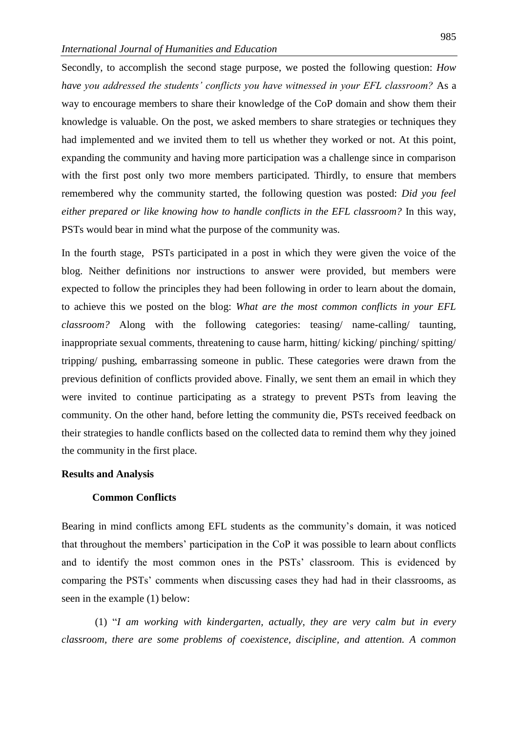Secondly, to accomplish the second stage purpose, we posted the following question: *How have you addressed the students' conflicts you have witnessed in your EFL classroom?* As a way to encourage members to share their knowledge of the CoP domain and show them their knowledge is valuable. On the post, we asked members to share strategies or techniques they had implemented and we invited them to tell us whether they worked or not. At this point, expanding the community and having more participation was a challenge since in comparison with the first post only two more members participated. Thirdly, to ensure that members remembered why the community started, the following question was posted: *Did you feel either prepared or like knowing how to handle conflicts in the EFL classroom?* In this way, PSTs would bear in mind what the purpose of the community was.

In the fourth stage, [PSTs participated in a post in which they were given the voice of the](https://andrewmer3.wixsite.com/website/inicio/did-you-feel-either-prepared-or-like-knowing-how-to-handle-conflicts-in-the-efl-classroom)  [blog. Neither definitions nor instructions to answer were provided, but members were](https://andrewmer3.wixsite.com/website/inicio/did-you-feel-either-prepared-or-like-knowing-how-to-handle-conflicts-in-the-efl-classroom)  [expected to follow the principles they had been following in order to learn about the domain,](https://andrewmer3.wixsite.com/website/inicio/did-you-feel-either-prepared-or-like-knowing-how-to-handle-conflicts-in-the-efl-classroom)  to achieve this we posted on the blog: *[What are the most common conflicts in your EFL](https://andrewmer3.wixsite.com/website/inicio/did-you-feel-either-prepared-or-like-knowing-how-to-handle-conflicts-in-the-efl-classroom)  classroom?* [Along with the following categories: teasing/ name-calling/ taunting,](https://andrewmer3.wixsite.com/website/inicio/did-you-feel-either-prepared-or-like-knowing-how-to-handle-conflicts-in-the-efl-classroom)  [inappropriate sexual comments, threatening to cause harm, hitting/ kicking/ pinching/ spitting/](https://andrewmer3.wixsite.com/website/inicio/did-you-feel-either-prepared-or-like-knowing-how-to-handle-conflicts-in-the-efl-classroom)  [tripping/ pushing, embarrassing someone in public. These categories were drawn from the](https://andrewmer3.wixsite.com/website/inicio/did-you-feel-either-prepared-or-like-knowing-how-to-handle-conflicts-in-the-efl-classroom)  [previous definition of conflicts provided above. Finally, we sent them an email in which they](https://andrewmer3.wixsite.com/website/inicio/did-you-feel-either-prepared-or-like-knowing-how-to-handle-conflicts-in-the-efl-classroom)  [were invited to continue participating as a strategy to prevent PSTs from leaving the](https://andrewmer3.wixsite.com/website/inicio/did-you-feel-either-prepared-or-like-knowing-how-to-handle-conflicts-in-the-efl-classroom)  [community. On the other hand, before letting the community die, PSTs received feedback on](https://andrewmer3.wixsite.com/website/inicio/did-you-feel-either-prepared-or-like-knowing-how-to-handle-conflicts-in-the-efl-classroom)  [their strategies to handle conflicts based on the collected data to remind them why they joined](https://andrewmer3.wixsite.com/website/inicio/did-you-feel-either-prepared-or-like-knowing-how-to-handle-conflicts-in-the-efl-classroom)  [the community in the first place.](https://andrewmer3.wixsite.com/website/inicio/did-you-feel-either-prepared-or-like-knowing-how-to-handle-conflicts-in-the-efl-classroom)

#### **Results and Analysis**

#### **Common Conflicts**

Bearing in mind conflicts among EFL students as the community's domain, it was noticed that throughout the members' participation in the CoP it was possible to learn about conflicts and to identify the most common ones in the PSTs' classroom. This is evidenced by comparing the PSTs' comments when discussing cases they had had in their classrooms, as seen in the example (1) below:

(1) "*I am working with kindergarten, actually, they are very calm but in every classroom, there are some problems of coexistence, discipline, and attention. A common*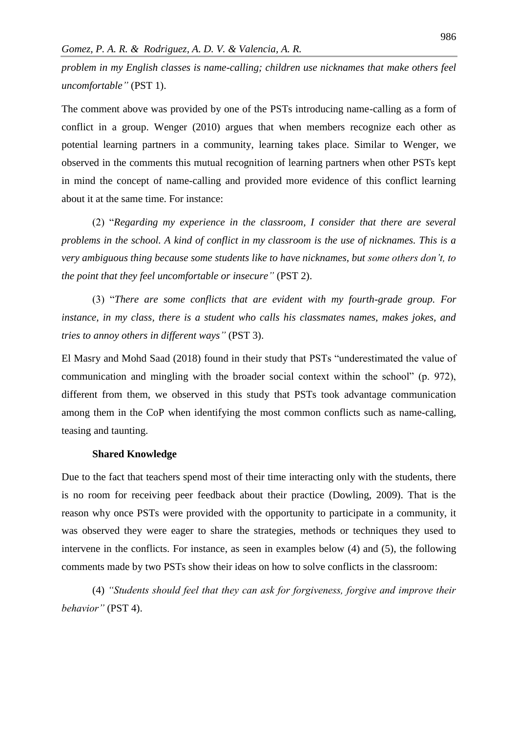*problem in my English classes is name-calling; children use nicknames that make others feel uncomfortable"* (PST 1).

The comment above was provided by one of the PSTs introducing name-calling as a form of conflict in a group. Wenger (2010) argues that when members recognize each other as potential learning partners in a community, learning takes place. Similar to Wenger, we observed in the comments this mutual recognition of learning partners when other PSTs kept in mind the concept of name-calling and provided more evidence of this conflict learning about it at the same time. For instance:

(2) "*Regarding my experience in the classroom, I consider that there are several problems in the school. A kind of conflict in my classroom is the use of nicknames. This is a very ambiguous thing because some students like to have nicknames, but some others don't, to the point that they feel uncomfortable or insecure"* (PST 2).

(3) "*There are some conflicts that are evident with my fourth-grade group. For instance, in my class, there is a student who calls his classmates names, makes jokes, and tries to annoy others in different ways"* (PST 3).

El Masry and Mohd Saad (2018) found in their study that PSTs "underestimated the value of communication and mingling with the broader social context within the school" (p. 972), different from them, we observed in this study that PSTs took advantage communication among them in the CoP when identifying the most common conflicts such as name-calling, teasing and taunting.

#### **Shared Knowledge**

Due to the fact that teachers spend most of their time interacting only with the students, there is no room for receiving peer feedback about their practice (Dowling, 2009). That is the reason why once PSTs were provided with the opportunity to participate in a community, it was observed they were eager to share the strategies, methods or techniques they used to intervene in the conflicts. For instance, as seen in examples below (4) and (5), the following comments made by two PSTs show their ideas on how to solve conflicts in the classroom:

(4) *"Students should feel that they can ask for forgiveness, forgive and improve their behavior"* (PST 4).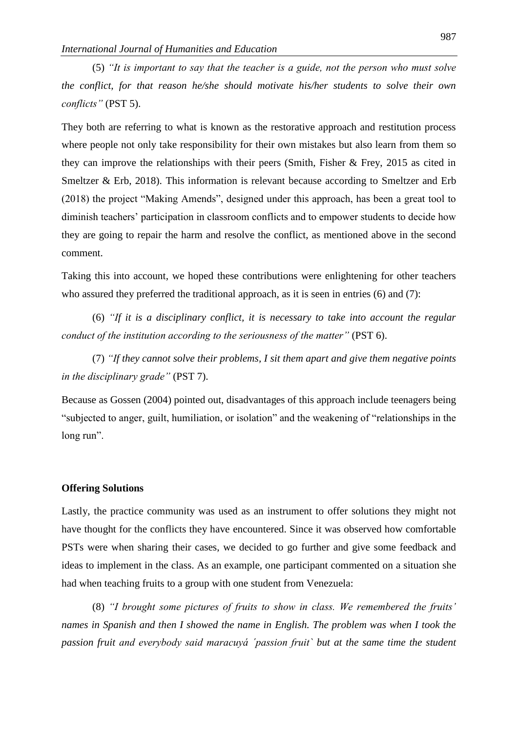(5) *"It is important to say that the teacher is a guide, not the person who must solve the conflict, for that reason he/she should motivate his/her students to solve their own conflicts"* (PST 5).

They both are referring to what is known as the restorative approach and restitution process where people not only take responsibility for their own mistakes but also learn from them so they can improve the relationships with their peers (Smith, Fisher & Frey, 2015 as cited in Smeltzer & Erb, 2018). This information is relevant because according to Smeltzer and Erb (2018) the project "Making Amends", designed under this approach, has been a great tool to diminish teachers' participation in classroom conflicts and to empower students to decide how they are going to repair the harm and resolve the conflict, as mentioned above in the second comment.

Taking this into account, we hoped these contributions were enlightening for other teachers who assured they preferred the traditional approach, as it is seen in entries (6) and (7):

(6) *"If it is a disciplinary conflict, it is necessary to take into account the regular conduct of the institution according to the seriousness of the matter"* (PST 6).

(7) *"If they cannot solve their problems, I sit them apart and give them negative points in the disciplinary grade"* (PST 7).

Because as Gossen (2004) pointed out, disadvantages of this approach include teenagers being "subjected to anger, guilt, humiliation, or isolation" and the weakening of "relationships in the long run".

#### **Offering Solutions**

Lastly, the practice community was used as an instrument to offer solutions they might not have thought for the conflicts they have encountered. Since it was observed how comfortable PSTs were when sharing their cases, we decided to go further and give some feedback and ideas to implement in the class. As an example, one participant commented on a situation she had when teaching fruits to a group with one student from Venezuela:

(8) *"I brought some pictures of fruits to show in class. We remembered the fruits' names in Spanish and then I showed the name in English. The problem was when I took the passion fruit and everybody said maracuyá ´passion fruit` but at the same time the student*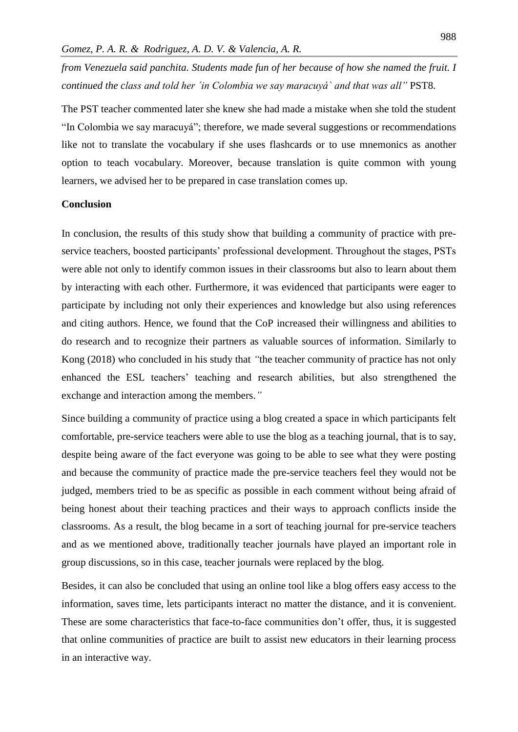*from Venezuela said panchita. Students made fun of her because of how she named the fruit. I continued the class and told her ´in Colombia we say maracuyá` and that was all"* PST8.

The PST teacher commented later she knew she had made a mistake when she told the student "In Colombia we say maracuyá"; therefore, we made several suggestions or recommendations like not to translate the vocabulary if she uses flashcards or to use mnemonics as another option to teach vocabulary. Moreover, because translation is quite common with young learners, we advised her to be prepared in case translation comes up.

# **Conclusion**

In conclusion, the results of this study show that building a community of practice with preservice teachers, boosted participants' professional development. Throughout the stages, PSTs were able not only to identify common issues in their classrooms but also to learn about them by interacting with each other. Furthermore, it was evidenced that participants were eager to participate by including not only their experiences and knowledge but also using references and citing authors. Hence, we found that the CoP increased their willingness and abilities to do research and to recognize their partners as valuable sources of information. Similarly to Kong (2018) who concluded in his study that *"*the teacher community of practice has not only enhanced the ESL teachers' teaching and research abilities, but also strengthened the exchange and interaction among the members.*"*

Since building a community of practice using a blog created a space in which participants felt comfortable, pre-service teachers were able to use the blog as a teaching journal, that is to say, despite being aware of the fact everyone was going to be able to see what they were posting and because the community of practice made the pre-service teachers feel they would not be judged, members tried to be as specific as possible in each comment without being afraid of being honest about their teaching practices and their ways to approach conflicts inside the classrooms. As a result, the blog became in a sort of teaching journal for pre-service teachers and as we mentioned above, traditionally teacher journals have played an important role in group discussions, so in this case, teacher journals were replaced by the blog.

Besides, it can also be concluded that using an online tool like a blog offers easy access to the information, saves time, lets participants interact no matter the distance, and it is convenient. These are some characteristics that face-to-face communities don't offer, thus, it is suggested that online communities of practice are built to assist new educators in their learning process in an interactive way.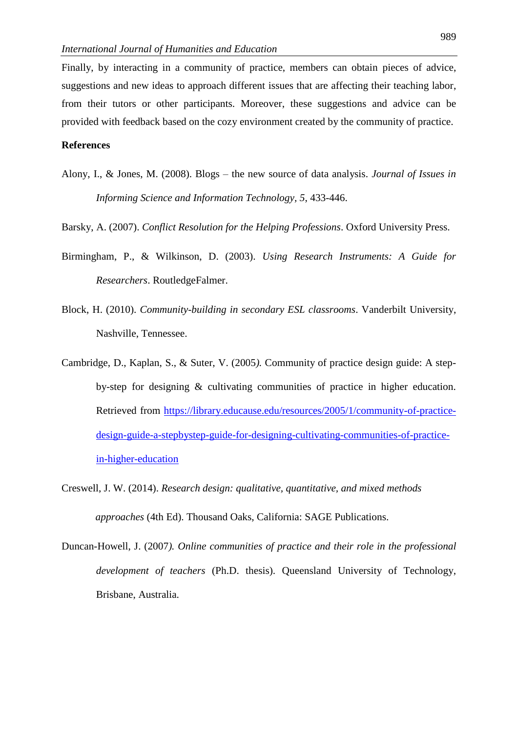Finally, by interacting in a community of practice, members can obtain pieces of advice, suggestions and new ideas to approach different issues that are affecting their teaching labor, from their tutors or other participants. Moreover, these suggestions and advice can be provided with feedback based on the cozy environment created by the community of practice.

#### **References**

- Alony, I., & Jones, M. (2008). Blogs the new source of data analysis. *Journal of Issues in Informing Science and Information Technology, 5*, 433-446.
- Barsky, A. (2007). *Conflict Resolution for the Helping Professions*. Oxford University Press.
- Birmingham, P., & Wilkinson, D. (2003). *Using Research Instruments: A Guide for Researchers*. RoutledgeFalmer.
- Block, H. (2010). *Community-building in secondary ESL classrooms*. Vanderbilt University, Nashville, Tennessee.
- Cambridge, D., Kaplan, S., & Suter, V. (2005*).* Community of practice design guide: A stepby-step for designing & cultivating communities of practice in higher education. Retrieved from [https://library.educause.edu/resources/2005/1/community-of-practice](https://library.educause.edu/resources/2005/1/community-of-practice-design-guide-a-stepbystep-guide-for-designing-cultivating-communities-of-practice-in-higher-education)[design-guide-a-stepbystep-guide-for-designing-cultivating-communities-of-practice](https://library.educause.edu/resources/2005/1/community-of-practice-design-guide-a-stepbystep-guide-for-designing-cultivating-communities-of-practice-in-higher-education)[in-higher-education](https://library.educause.edu/resources/2005/1/community-of-practice-design-guide-a-stepbystep-guide-for-designing-cultivating-communities-of-practice-in-higher-education)
- Creswell, J. W. (2014). *Research design: qualitative, quantitative, and mixed methods approaches* (4th Ed). Thousand Oaks, California: SAGE Publications.
- Duncan-Howell, J. (2007*). Online communities of practice and their role in the professional development of teachers* (Ph.D. thesis). Queensland University of Technology, Brisbane, Australia.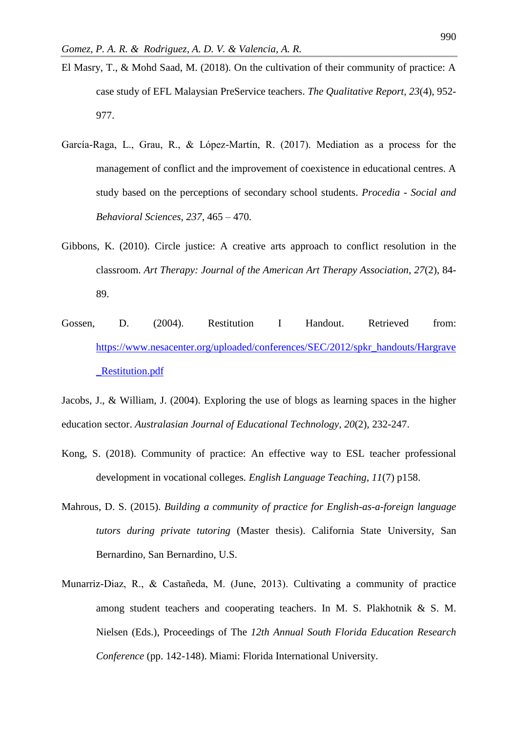- El Masry, T., & Mohd Saad, M. (2018). On the cultivation of their community of practice: A case study of EFL Malaysian PreService teachers. *The Qualitative Report, 23*(4), 952- 977.
- García-Raga, L., Grau, R., & López-Martín, R. (2017). Mediation as a process for the management of conflict and the improvement of coexistence in educational centres. A study based on the perceptions of secondary school students. *Procedia - Social and Behavioral Sciences, 237*, 465 – 470.
- Gibbons, K. (2010). Circle justice: A creative arts approach to conflict resolution in the classroom. *Art Therapy: Journal of the American Art Therapy Association, 27*(2), 84- 89.
- Gossen, D. (2004). Restitution I Handout. Retrieved from: [https://www.nesacenter.org/uploaded/conferences/SEC/2012/spkr\\_handouts/Hargrave](https://www.nesacenter.org/uploaded/conferences/SEC/2012/spkr_handouts/Hargrave_Restitution.pdf) [\\_Restitution.pdf](https://www.nesacenter.org/uploaded/conferences/SEC/2012/spkr_handouts/Hargrave_Restitution.pdf)

Jacobs, J., & William, J. (2004). Exploring the use of blogs as learning spaces in the higher education sector. *Australasian Journal of Educational Technology, 20*(2), 232-247.

- Kong, S. (2018). Community of practice: An effective way to ESL teacher professional development in vocational colleges*. English Language Teaching, 11*(7) p158.
- Mahrous, D. S. (2015). *Building a community of practice for English-as-a-foreign language tutors during private tutoring* (Master thesis). California State University, San Bernardino, San Bernardino, U.S.
- Munarriz-Diaz, R., & Castañeda, M. (June, 2013). Cultivating a community of practice among student teachers and cooperating teachers. In M. S. Plakhotnik  $\&$  S. M. Nielsen (Eds.), Proceedings of The *12th Annual South Florida Education Research Conference* (pp. 142-148). Miami: Florida International University.